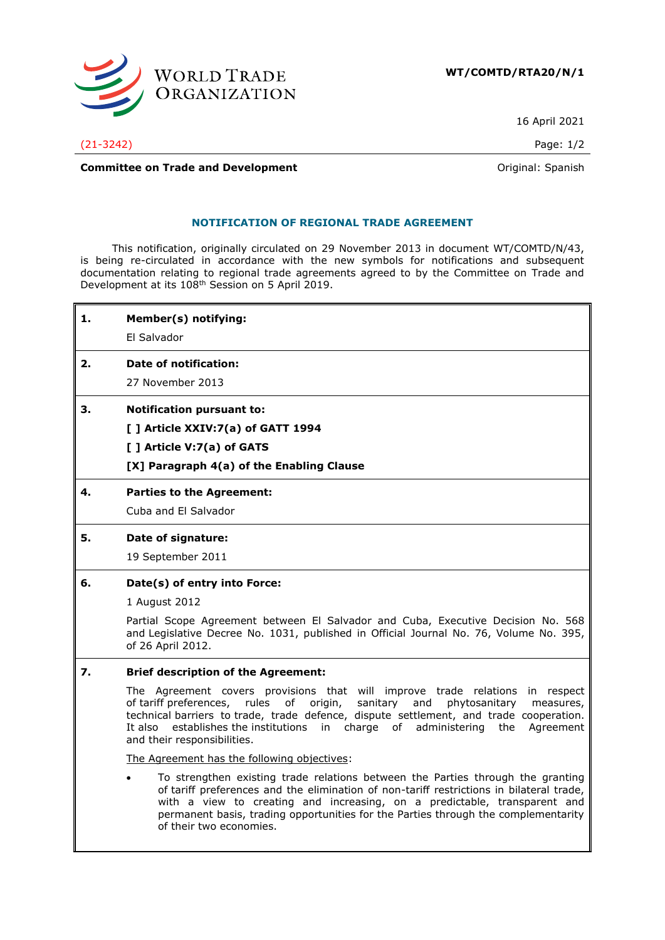

16 April 2021

(21-3242) Page: 1/2

**Committee on Trade and Development Committee on Trade and Development Committee on Trade and Development** 

## **NOTIFICATION OF REGIONAL TRADE AGREEMENT**

This notification, originally circulated on 29 November 2013 in document WT/COMTD/N/43, is being re-circulated in accordance with the new symbols for notifications and subsequent documentation relating to regional trade agreements agreed to by the Committee on Trade and Development at its 108th Session on 5 April 2019.

| 1. | Member(s) notifying:                                                                                                                                                                            |
|----|-------------------------------------------------------------------------------------------------------------------------------------------------------------------------------------------------|
|    | El Salvador                                                                                                                                                                                     |
| 2. | Date of notification:                                                                                                                                                                           |
|    | 27 November 2013                                                                                                                                                                                |
| З. | <b>Notification pursuant to:</b>                                                                                                                                                                |
|    | [] Article XXIV:7(a) of GATT 1994                                                                                                                                                               |
|    | [ ] Article V:7(a) of GATS                                                                                                                                                                      |
|    | [X] Paragraph 4(a) of the Enabling Clause                                                                                                                                                       |
| 4. | <b>Parties to the Agreement:</b>                                                                                                                                                                |
|    | Cuba and El Salvador                                                                                                                                                                            |
| 5. | Date of signature:                                                                                                                                                                              |
|    | 19 September 2011                                                                                                                                                                               |
| 6. | Date(s) of entry into Force:                                                                                                                                                                    |
|    | 1 August 2012                                                                                                                                                                                   |
|    | Partial Scope Agreement between El Salvador and Cuba, Executive Decision No. 568<br>and Legislative Decree No. 1031, published in Official Journal No. 76, Volume No. 395,<br>of 26 April 2012. |
| 7. | <b>Brief description of the Agreement:</b>                                                                                                                                                      |
|    | The Agreement covers provisions that will improve trade relations in respect<br>of tariff preferences, rules of origin,<br>sanitary and phytosanitary<br>measures,                              |

technical barriers to trade, trade defence, dispute settlement, and trade cooperation. It also establishes the institutions in charge of administering the Agreement and their responsibilities.

The Agreement has the following objectives:

• To strengthen existing trade relations between the Parties through the granting of tariff preferences and the elimination of non-tariff restrictions in bilateral trade, with a view to creating and increasing, on a predictable, transparent and permanent basis, trading opportunities for the Parties through the complementarity of their two economies.